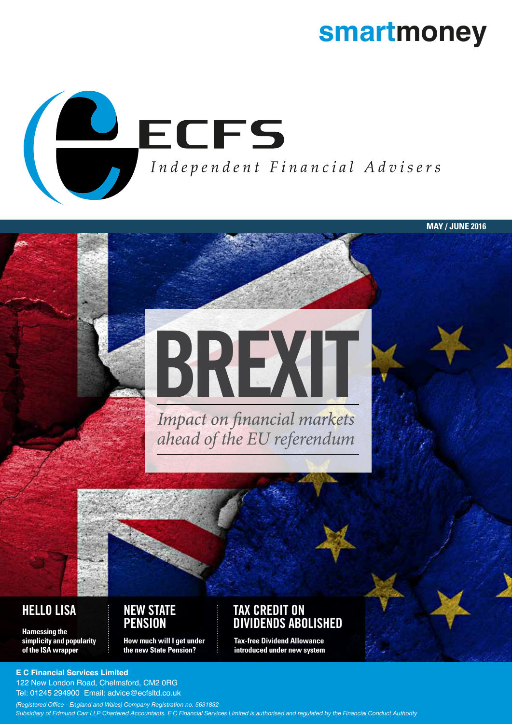# **smartmoney**

**MAY / JUNE 2016**



# **BREXIT**<br>Impact on financial markets

*ahead of the EU referendum*

**Harnessing the simplicity and popularity of the ISA wrapper**

#### **HELLO LISA NEW STATE PENSION**

**How much will I get under the new State Pension?**

#### **TAX CREDIT ON DIVIDENDS ABOLISHED**

**Tax-free Dividend Allowance introduced under new system**

**E C Financial Services Limited**

122 New London Road, Chelmsford, CM2 0RG Tel: 01245 294900 Email: advice@ecfsltd.co.uk

*(Registered Office - England and Wales) Company Registration no. 5631832 Subsidiary of Edmund Carr LLP Chartered Accountants. E C Financial Services Limited is authorised and regulated by the Financial Conduct Authority*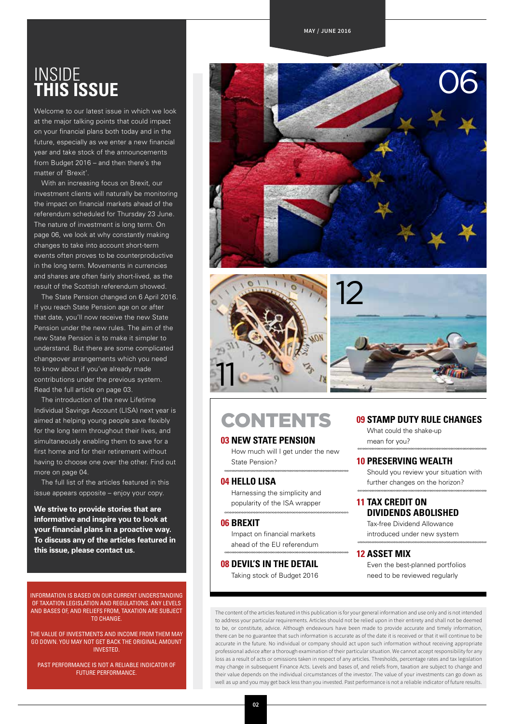#### **MAY / JUNE 2016**

## INSIDE **THIS ISSUE**

Welcome to our latest issue in which we look at the major talking points that could impact on your financial plans both today and in the future, especially as we enter a new financial year and take stock of the announcements from Budget 2016 – and then there's the matter of 'Brexit'.

With an increasing focus on Brexit, our investment clients will naturally be monitoring the impact on financial markets ahead of the referendum scheduled for Thursday 23 June. The nature of investment is long term. On page 06, we look at why constantly making changes to take into account short-term events often proves to be counterproductive in the long term. Movements in currencies and shares are often fairly short-lived, as the result of the Scottish referendum showed.

The State Pension changed on 6 April 2016. If you reach State Pension age on or after that date, you'll now receive the new State Pension under the new rules. The aim of the new State Pension is to make it simpler to understand. But there are some complicated changeover arrangements which you need to know about if you've already made contributions under the previous system. Read the full article on page 03.

The introduction of the new Lifetime Individual Savings Account (LISA) next year is aimed at helping young people save flexibly for the long term throughout their lives, and simultaneously enabling them to save for a first home and for their retirement without having to choose one over the other. Find out more on page 04

The full list of the articles featured in this issue appears opposite – enjoy your copy.

**We strive to provide stories that are informative and inspire you to look at your financial plans in a proactive way. To discuss any of the articles featured in this issue, please contact us.** 

INFORMATION IS BASED ON OUR CURRENT UNDERSTANDING OF TAXATION LEGISLATION AND REGULATIONS. ANY LEVELS AND BASES OF, AND RELIEFS FROM, TAXATION ARE SUBJECT TO CHANGE.

THE VALUE OF INVESTMENTS AND INCOME FROM THEM MAY GO DOWN. YOU MAY NOT GET BACK THE ORIGINAL AMOUNT INVESTED.

PAST PERFORMANCE IS NOT A RELIABLE INDICATOR OF FUTURE PERFORMANCE.





## **CONTENTS**

#### **03 NEW STATE PENSION**

How much will I get under the new State Pension?

#### **04 HELLO LISA**

Harnessing the simplicity and popularity of the ISA wrapper

#### **06 BREXIT**

Impact on financial markets ahead of the EU referendum

**08 DEVIL'S IN THE DETAIL**  Taking stock of Budget 2016

#### **09 STAMP DUTY RULE CHANGES**

What could the shake-up mean for you?

#### **10 PRESERVING WEALTH**

Should you review your situation with further changes on the horizon?

#### **11 TAX CREDIT ON DIVIDENDS ABOLISHED**

Tax-free Dividend Allowance introduced under new system

#### **12 ASSET MIX**

Even the best-planned portfolios need to be reviewed regularly

The content of the articles featured in this publication is for your general information and use only and is not intended to address your particular requirements. Articles should not be relied upon in their entirety and shall not be deemed to be, or constitute, advice. Although endeavours have been made to provide accurate and timely information, there can be no guarantee that such information is accurate as of the date it is received or that it will continue to be accurate in the future. No individual or company should act upon such information without receiving appropriate professional advice after a thorough examination of their particular situation. We cannot accept responsibility for any loss as a result of acts or omissions taken in respect of any articles. Thresholds, percentage rates and tax legislation may change in subsequent Finance Acts. Levels and bases of, and reliefs from, taxation are subject to change and their value depends on the individual circumstances of the investor. The value of your investments can go down as well as up and you may get back less than you invested. Past performance is not a reliable indicator of future results.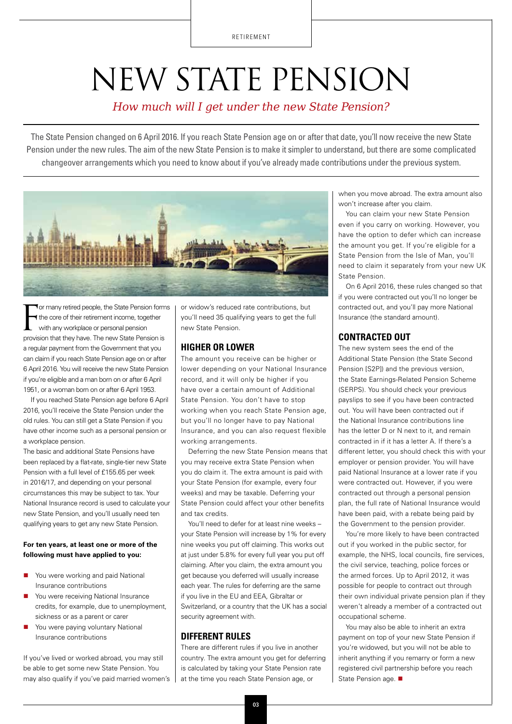RETIREMENT

# NEW STATE PENSION

#### *How much will I get under the new State Pension?*

The State Pension changed on 6 April 2016. If you reach State Pension age on or after that date, you'll now receive the new State Pension under the new rules. The aim of the new State Pension is to make it simpler to understand, but there are some complicated changeover arrangements which you need to know about if you've already made contributions under the previous system.



For many retired people, the State Pension form<br>
the core of their retirement income, together<br>
with any workplace or personal pension<br>
provision that they have. The new State Pension is **Tor many retired people, the State Pension forms** the core of their retirement income, together with any workplace or personal pension a regular payment from the Government that you can claim if you reach State Pension age on or after 6 April 2016. You will receive the new State Pension if you're eligible and a man born on or after 6 April 1951, or a woman born on or after 6 April 1953.

If you reached State Pension age before 6 April 2016, you'll receive the State Pension under the old rules. You can still get a State Pension if you have other income such as a personal pension or a workplace pension.

The basic and additional State Pensions have been replaced by a flat-rate, single-tier new State Pension with a full level of £155.65 per week in 2016/17, and depending on your personal circumstances this may be subject to tax. Your National Insurance record is used to calculate your new State Pension, and you'll usually need ten qualifying years to get any new State Pension.

#### **For ten years, at least one or more of the following must have applied to you:**

- You were working and paid National Insurance contributions
- You were receiving National Insurance credits, for example, due to unemployment, sickness or as a parent or carer
- You were paying voluntary National Insurance contributions

If you've lived or worked abroad, you may still be able to get some new State Pension. You may also qualify if you've paid married women's or widow's reduced rate contributions, but you'll need 35 qualifying years to get the full new State Pension.

#### **HIGHER OR LOWER**

The amount you receive can be higher or lower depending on your National Insurance record, and it will only be higher if you have over a certain amount of Additional State Pension. You don't have to stop working when you reach State Pension age, but you'll no longer have to pay National Insurance, and you can also request flexible working arrangements.

Deferring the new State Pension means that you may receive extra State Pension when you do claim it. The extra amount is paid with your State Pension (for example, every four weeks) and may be taxable. Deferring your State Pension could affect your other benefits and tax credits.

You'll need to defer for at least nine weeks – your State Pension will increase by 1% for every nine weeks you put off claiming. This works out at just under 5.8% for every full year you put off claiming. After you claim, the extra amount you get because you deferred will usually increase each year. The rules for deferring are the same if you live in the EU and EEA, Gibraltar or Switzerland, or a country that the UK has a social security agreement with.

#### **DIFFERENT RULES**

There are different rules if you live in another country. The extra amount you get for deferring is calculated by taking your State Pension rate at the time you reach State Pension age, or

when you move abroad. The extra amount also won't increase after you claim.

You can claim your new State Pension even if you carry on working. However, you have the option to defer which can increase the amount you get. If you're eligible for a State Pension from the Isle of Man, you'll need to claim it separately from your new UK State Pension.

On 6 April 2016, these rules changed so that if you were contracted out you'll no longer be contracted out, and you'll pay more National Insurance (the standard amount).

#### **CONTRACTED OUT**

The new system sees the end of the Additional State Pension (the State Second Pension [S2P]) and the previous version, the State Earnings-Related Pension Scheme (SERPS). You should check your previous payslips to see if you have been contracted out. You will have been contracted out if the National Insurance contributions line has the letter D or N next to it, and remain contracted in if it has a letter A. If there's a different letter, you should check this with your employer or pension provider. You will have paid National Insurance at a lower rate if you were contracted out. However, if you were contracted out through a personal pension plan, the full rate of National Insurance would have been paid, with a rebate being paid by the Government to the pension provider.

You're more likely to have been contracted out if you worked in the public sector, for example, the NHS, local councils, fire services, the civil service, teaching, police forces or the armed forces. Up to April 2012, it was possible for people to contract out through their own individual private pension plan if they weren't already a member of a contracted out occupational scheme.

You may also be able to inherit an extra payment on top of your new State Pension if you're widowed, but you will not be able to inherit anything if you remarry or form a new registered civil partnership before you reach State Pension age.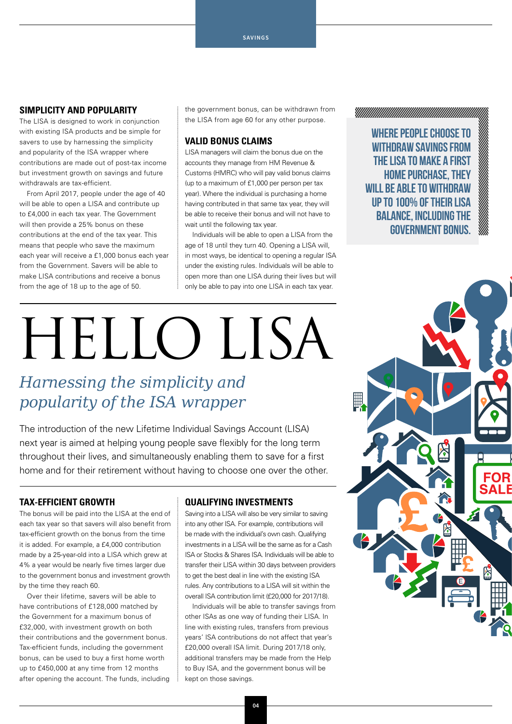#### **SIMPLICITY AND POPULARITY**

The LISA is designed to work in conjunction with existing ISA products and be simple for savers to use by harnessing the simplicity and popularity of the ISA wrapper where contributions are made out of post-tax income but investment growth on savings and future withdrawals are tax-efficient.

From April 2017, people under the age of 40 will be able to open a LISA and contribute up to £4,000 in each tax year. The Government will then provide a 25% bonus on these contributions at the end of the tax year. This means that people who save the maximum each year will receive a £1,000 bonus each year from the Government. Savers will be able to make LISA contributions and receive a bonus from the age of 18 up to the age of 50.

the government bonus, can be withdrawn from the LISA from age 60 for any other purpose.

#### **VALID BONUS CLAIMS**

LISA managers will claim the bonus due on the accounts they manage from HM Revenue & Customs (HMRC) who will pay valid bonus claims (up to a maximum of £1,000 per person per tax year). Where the individual is purchasing a home having contributed in that same tax year, they will be able to receive their bonus and will not have to wait until the following tax year.

Individuals will be able to open a LISA from the age of 18 until they turn 40. Opening a LISA will, in most ways, be identical to opening a regular ISA under the existing rules. Individuals will be able to open more than one LISA during their lives but will only be able to pay into one LISA in each tax year.

# Hello LISA

## *Harnessing the simplicity and popularity of the ISA wrapper*

The introduction of the new Lifetime Individual Savings Account (LISA) next year is aimed at helping young people save flexibly for the long term throughout their lives, and simultaneously enabling them to save for a first home and for their retirement without having to choose one over the other.

#### **TAX-EFFICIENT GROWTH**

The bonus will be paid into the LISA at the end of each tax year so that savers will also benefit from tax-efficient growth on the bonus from the time it is added. For example, a £4,000 contribution made by a 25-year-old into a LISA which grew at 4% a year would be nearly five times larger due to the government bonus and investment growth by the time they reach 60.

Over their lifetime, savers will be able to have contributions of £128,000 matched by the Government for a maximum bonus of £32,000, with investment growth on both their contributions and the government bonus. Tax-efficient funds, including the government bonus, can be used to buy a first home worth up to £450,000 at any time from 12 months after opening the account. The funds, including

#### **QUALIFYING INVESTMENTS**

Saving into a LISA will also be very similar to saving into any other ISA. For example, contributions will be made with the individual's own cash. Qualifying investments in a LISA will be the same as for a Cash ISA or Stocks & Shares ISA. Individuals will be able to transfer their LISA within 30 days between providers to get the best deal in line with the existing ISA rules. Any contributions to a LISA will sit within the overall ISA contribution limit (£20,000 for 2017/18).

Individuals will be able to transfer savings from other ISAs as one way of funding their LISA. In line with existing rules, transfers from previous years' ISA contributions do not affect that year's £20,000 overall ISA limit. During 2017/18 only, additional transfers may be made from the Help to Buy ISA, and the government bonus will be kept on those savings.



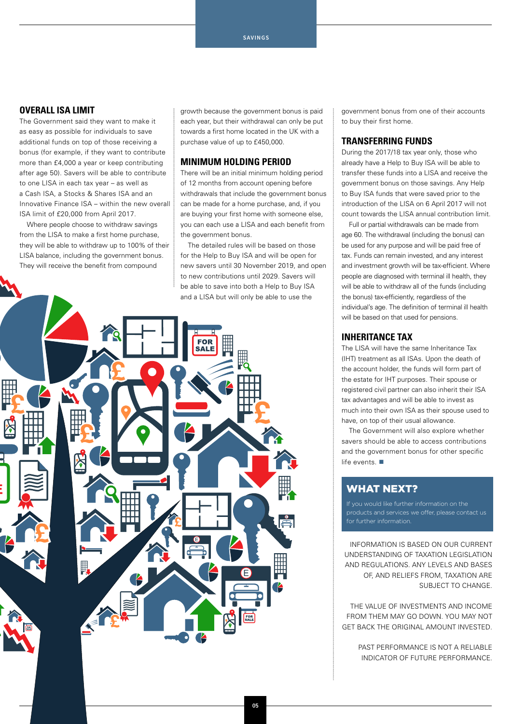#### **OVERALL ISA LIMIT**

The Government said they want to make it as easy as possible for individuals to save additional funds on top of those receiving a bonus (for example, if they want to contribute more than £4,000 a year or keep contributing after age 50). Savers will be able to contribute to one LISA in each tax year – as well as a Cash ISA, a Stocks & Shares ISA and an Innovative Finance ISA – within the new overall ISA limit of £20,000 from April 2017.

Where people choose to withdraw savings from the LISA to make a first home purchase, they will be able to withdraw up to 100% of their LISA balance, including the government bonus. They will receive the benefit from compound

growth because the government bonus is paid each year, but their withdrawal can only be put towards a first home located in the UK with a purchase value of up to £450,000.

#### **MINIMUM HOLDING PERIOD**

There will be an initial minimum holding period of 12 months from account opening before withdrawals that include the government bonus can be made for a home purchase, and, if you are buying your first home with someone else, you can each use a LISA and each benefit from the government bonus.

The detailed rules will be based on those for the Help to Buy ISA and will be open for new savers until 30 November 2019, and open to new contributions until 2029. Savers will be able to save into both a Help to Buy ISA and a LISA but will only be able to use the



government bonus from one of their accounts to buy their first home.

#### **TRANSFERRING FUNDS**

During the 2017/18 tax year only, those who already have a Help to Buy ISA will be able to transfer these funds into a LISA and receive the government bonus on those savings. Any Help to Buy ISA funds that were saved prior to the introduction of the LISA on 6 April 2017 will not count towards the LISA annual contribution limit.

Full or partial withdrawals can be made from age 60. The withdrawal (including the bonus) can be used for any purpose and will be paid free of tax. Funds can remain invested, and any interest and investment growth will be tax-efficient. Where people are diagnosed with terminal ill health, they will be able to withdraw all of the funds (including the bonus) tax-efficiently, regardless of the individual's age. The definition of terminal ill health will be based on that used for pensions.

#### **INHERITANCE TAX**

The LISA will have the same Inheritance Tax (IHT) treatment as all ISAs. Upon the death of the account holder, the funds will form part of the estate for IHT purposes. Their spouse or registered civil partner can also inherit their ISA tax advantages and will be able to invest as much into their own ISA as their spouse used to have, on top of their usual allowance.

The Government will also explore whether savers should be able to access contributions and the government bonus for other specific life events.  $\blacksquare$ 

#### WHAT NEXT?

INFORMATION IS BASED ON OUR CURRENT UNDERSTANDING OF TAXATION LEGISLATION AND REGULATIONS. ANY LEVELS AND BASES OF, AND RELIEFS FROM, TAXATION ARE SUBJECT TO CHANGE.

THE VALUE OF INVESTMENTS AND INCOME FROM THEM MAY GO DOWN. YOU MAY NOT GET BACK THE ORIGINAL AMOUNT INVESTED.

> PAST PERFORMANCE IS NOT A RELIABLE INDICATOR OF FUTURE PERFORMANCE.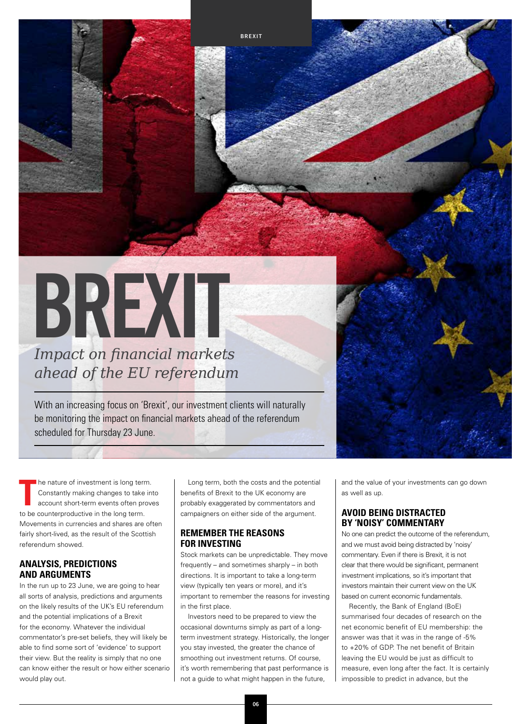# **BREXIT**

*Impact on financial markets ahead of the EU referendum*

With an increasing focus on 'Brexit', our investment clients will naturally be monitoring the impact on financial markets ahead of the referendum scheduled for Thursday 23 June.

**T** he nature of investment is long term. Constantly making changes to take into account short-term events often proves to be counterproductive in the long term. Movements in currencies and shares are often fairly short-lived, as the result of the Scottish referendum showed.

#### **ANALYSIS, PREDICTIONS AND ARGUMENTS**

In the run up to 23 June, we are going to hear all sorts of analysis, predictions and arguments on the likely results of the UK's EU referendum and the potential implications of a Brexit for the economy. Whatever the individual commentator's pre-set beliefs, they will likely be able to find some sort of 'evidence' to support their view. But the reality is simply that no one can know either the result or how either scenario would play out.

Long term, both the costs and the potential benefits of Brexit to the UK economy are probably exaggerated by commentators and campaigners on either side of the argument.

**BREXIT**

#### **REMEMBER THE REASONS FOR INVESTING**

Stock markets can be unpredictable. They move frequently – and sometimes sharply – in both directions. It is important to take a long-term view (typically ten years or more), and it's important to remember the reasons for investing in the first place.

Investors need to be prepared to view the occasional downturns simply as part of a longterm investment strategy. Historically, the longer you stay invested, the greater the chance of smoothing out investment returns. Of course, it's worth remembering that past performance is not a guide to what might happen in the future,

and the value of your investments can go down as well as up.

#### **AVOID BEING DISTRACTED BY 'NOISY' COMMENTARY**

No one can predict the outcome of the referendum, and we must avoid being distracted by 'noisy' commentary. Even if there is Brexit, it is not clear that there would be significant, permanent investment implications, so it's important that investors maintain their current view on the UK based on current economic fundamentals.

Recently, the Bank of England (BoE) summarised four decades of research on the net economic benefit of EU membership: the answer was that it was in the range of -5% to +20% of GDP. The net benefit of Britain leaving the EU would be just as difficult to measure, even long after the fact. It is certainly impossible to predict in advance, but the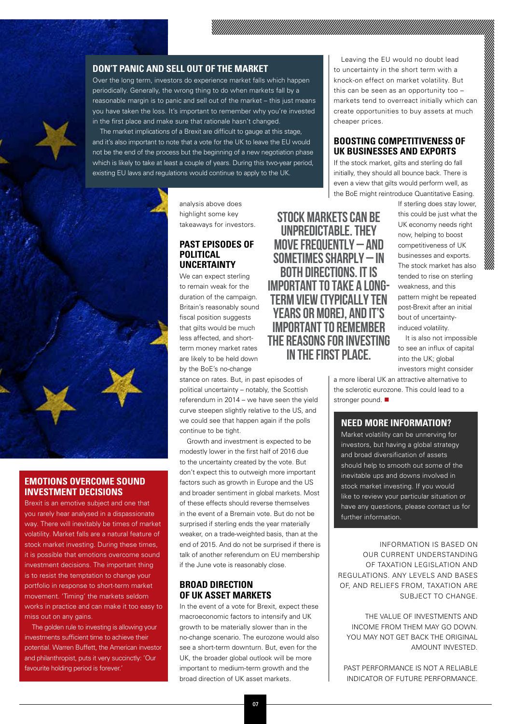#### **DON'T PANIC AND SELL OUT OF THE MARKET**

Over the long term, investors do experience market falls which happen periodically. Generally, the wrong thing to do when markets fall by a reasonable margin is to panic and sell out of the market – this just means you have taken the loss. It's important to remember why you're invested in the first place and make sure that rationale hasn't changed.

The market implications of a Brexit are difficult to gauge at this stage, and it's also important to note that a vote for the UK to leave the EU would not be the end of the process but the beginning of a new negotiation phase which is likely to take at least a couple of years. During this two-year period, existing EU laws and regulations would continue to apply to the UK.



#### **EMOTIONS OVERCOME SOUND INVESTMENT DECISIONS**

Brexit is an emotive subject and one that you rarely hear analysed in a dispassionate way. There will inevitably be times of market volatility. Market falls are a natural feature of stock market investing. During these times, it is possible that emotions overcome sound investment decisions. The important thing is to resist the temptation to change your portfolio in response to short-term market movement. 'Timing' the markets seldom works in practice and can make it too easy to miss out on any gains.

The golden rule to investing is allowing your investments sufficient time to achieve their potential. Warren Buffett, the American investor and philanthropist, puts it very succinctly: 'Our favourite holding period is forever.'

analysis above does highlight some key takeaways for investors.

#### **PAST EPISODES OF POLITICAL UNCERTAINTY**

We can expect sterling to remain weak for the duration of the campaign. Britain's reasonably sound fiscal position suggests that gilts would be much less affected, and shortterm money market rates are likely to be held down by the BoE's no-change

stance on rates. But, in past episodes of political uncertainty – notably, the Scottish referendum in 2014 – we have seen the yield curve steepen slightly relative to the US, and we could see that happen again if the polls continue to be tight.

Growth and investment is expected to be modestly lower in the first half of 2016 due to the uncertainty created by the vote. But don't expect this to outweigh more important factors such as growth in Europe and the US and broader sentiment in global markets. Most of these effects should reverse themselves in the event of a Bremain vote. But do not be surprised if sterling ends the year materially weaker, on a trade-weighted basis, than at the end of 2015. And do not be surprised if there is talk of another referendum on EU membership if the June vote is reasonably close.

#### **BROAD DIRECTION OF UK ASSET MARKETS**

In the event of a vote for Brexit, expect these macroeconomic factors to intensify and UK growth to be materially slower than in the no-change scenario. The eurozone would also see a short-term downturn. But, even for the UK, the broader global outlook will be more important to medium-term growth and the broad direction of UK asset markets.

Leaving the EU would no doubt lead to uncertainty in the short term with a knock-on effect on market volatility. But this can be seen as an opportunity too – markets tend to overreact initially which can create opportunities to buy assets at much cheaper prices.

#### **BOOSTING COMPETITIVENESS OF UK BUSINESSES AND EXPORTS**

If the stock market, gilts and sterling do fall initially, they should all bounce back. There is even a view that gilts would perform well, as the BoE might reintroduce Quantitative Easing.

STOCK MARKETS CAN BE UNPREDICTABLE. THEY MOVE FREQUENTLY – AND SOMETIMES SHARPLY – IN BOTH DIRECTIONS. IT IS IMPORTANT TO TAKE A LONG-TERM VIEW (TYPICALLY TEN YEARS OR MORE), AND IT'S IMPORTANT TO REMEMBER THE REASONS FOR INVESTING IN THE FIRST PLACE.

If sterling does stay lower, this could be just what the UK economy needs right now, helping to boost competitiveness of UK businesses and exports. The stock market has also tended to rise on sterling weakness, and this pattern might be repeated post-Brexit after an initial bout of uncertaintyinduced volatility.

It is also not impossible to see an influx of capital into the UK; global investors might consider

a more liberal UK an attractive alternative to the sclerotic eurozone. This could lead to a stronger pound.

#### **NEED MORE INFORMATION?**

Market volatility can be unnerving for investors, but having a global strategy and broad diversification of assets should help to smooth out some of the inevitable ups and downs involved in stock market investing. If you would like to review your particular situation or have any questions, please contact us for further information.

INFORMATION IS BASED ON OUR CURRENT UNDERSTANDING OF TAXATION LEGISLATION AND REGULATIONS. ANY LEVELS AND BASES OF, AND RELIEFS FROM, TAXATION ARE SUBJECT TO CHANGE.

THE VALUE OF INVESTMENTS AND INCOME FROM THEM MAY GO DOWN. YOU MAY NOT GET BACK THE ORIGINAL AMOUNT INVESTED.

PAST PERFORMANCE IS NOT A RELIABLE INDICATOR OF FUTURE PERFORMANCE.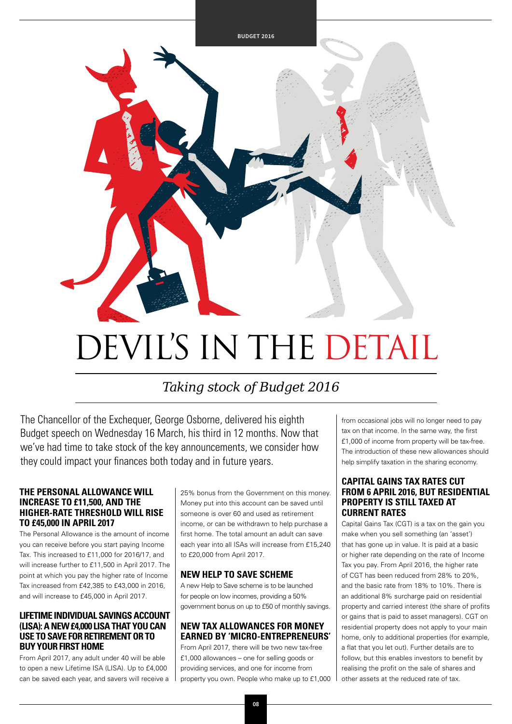

## *Taking stock of Budget 2016*

The Chancellor of the Exchequer, George Osborne, delivered his eighth Budget speech on Wednesday 16 March, his third in 12 months. Now that we've had time to take stock of the key announcements, we consider how they could impact your finances both today and in future years.

#### **THE PERSONAL ALLOWANCE WILL INCREASE TO £11,500, AND THE HIGHER-RATE THRESHOLD WILL RISE TO £45,000 IN APRIL 2017**

The Personal Allowance is the amount of income you can receive before you start paying Income Tax. This increased to £11,000 for 2016/17, and will increase further to £11,500 in April 2017. The point at which you pay the higher rate of Income Tax increased from £42,385 to £43,000 in 2016, and will increase to £45,000 in April 2017.

#### **LIFETIME INDIVIDUAL SAVINGS ACCOUNT (LISA): A NEW £4,000 LISA THAT YOU CAN USE TO SAVE FOR RETIREMENT OR TO BUY YOUR FIRST HOME**

From April 2017, any adult under 40 will be able to open a new Lifetime ISA (LISA). Up to £4,000 can be saved each year, and savers will receive a

25% bonus from the Government on this money. Money put into this account can be saved until someone is over 60 and used as retirement income, or can be withdrawn to help purchase a first home. The total amount an adult can save each year into all ISAs will increase from £15,240 to £20,000 from April 2017.

#### **NEW HELP TO SAVE SCHEME**

A new Help to Save scheme is to be launched for people on low incomes, providing a 50% government bonus on up to £50 of monthly savings.

#### **NEW TAX ALLOWANCES FOR MONEY EARNED BY 'MICRO-ENTREPRENEURS'**

From April 2017, there will be two new tax-free £1,000 allowances – one for selling goods or providing services, and one for income from property you own. People who make up to £1,000 from occasional jobs will no longer need to pay tax on that income. In the same way, the first £1,000 of income from property will be tax-free. The introduction of these new allowances should help simplify taxation in the sharing economy.

#### **CAPITAL GAINS TAX RATES CUT FROM 6 APRIL 2016, BUT RESIDENTIAL PROPERTY IS STILL TAXED AT CURRENT RATES**

Capital Gains Tax (CGT) is a tax on the gain you make when you sell something (an 'asset') that has gone up in value. It is paid at a basic or higher rate depending on the rate of Income Tax you pay. From April 2016, the higher rate of CGT has been reduced from 28% to 20%, and the basic rate from 18% to 10%. There is an additional 8% surcharge paid on residential property and carried interest (the share of profits or gains that is paid to asset managers). CGT on residential property does not apply to your main home, only to additional properties (for example, a flat that you let out). Further details are to follow, but this enables investors to benefit by realising the profit on the sale of shares and other assets at the reduced rate of tax.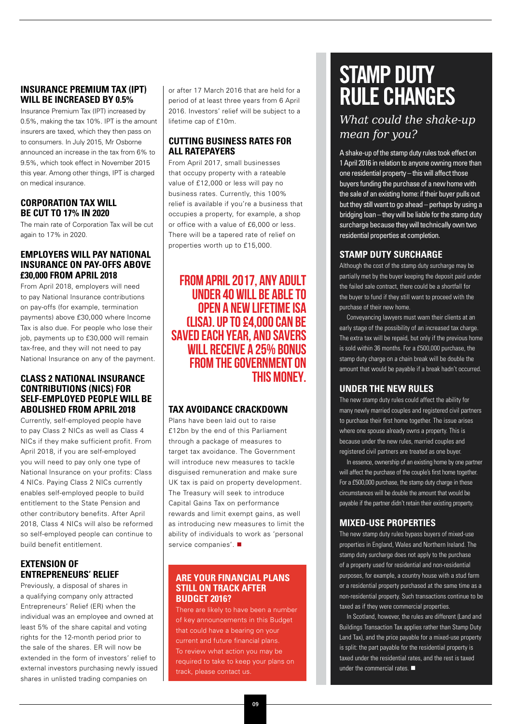#### **INSURANCE PREMIUM TAX (IPT) WILL BE INCREASED BY 0.5%**

Insurance Premium Tax (IPT) increased by 0.5%, making the tax 10%. IPT is the amount insurers are taxed, which they then pass on to consumers. In July 2015, Mr Osborne announced an increase in the tax from 6% to 9.5%, which took effect in November 2015 this year. Among other things, IPT is charged on medical insurance.

#### **CORPORATION TAX WILL BE CUT TO 17% IN 2020**

The main rate of Corporation Tax will be cut again to 17% in 2020.

#### **EMPLOYERS WILL PAY NATIONAL INSURANCE ON PAY-OFFS ABOVE £30,000 FROM APRIL 2018**

From April 2018, employers will need to pay National Insurance contributions on pay-offs (for example, termination payments) above £30,000 where Income Tax is also due. For people who lose their job, payments up to £30,000 will remain tax-free, and they will not need to pay National Insurance on any of the payment.

#### **CLASS 2 NATIONAL INSURANCE CONTRIBUTIONS (NICS) FOR SELF-EMPLOYED PEOPLE WILL BE ABOLISHED FROM APRIL 2018**

Currently, self-employed people have to pay Class 2 NICs as well as Class 4 NICs if they make sufficient profit. From April 2018, if you are self-employed you will need to pay only one type of National Insurance on your profits: Class 4 NICs. Paying Class 2 NICs currently enables self-employed people to build entitlement to the State Pension and other contributory benefits. After April 2018, Class 4 NICs will also be reformed so self-employed people can continue to build benefit entitlement.

#### **EXTENSION OF ENTREPRENEURS' RELIEF**

Previously, a disposal of shares in a qualifying company only attracted Entrepreneurs' Relief (ER) when the individual was an employee and owned at least 5% of the share capital and voting rights for the 12-month period prior to the sale of the shares. ER will now be extended in the form of investors' relief to external investors purchasing newly issued shares in unlisted trading companies on

or after 17 March 2016 that are held for a period of at least three years from 6 April 2016. Investors' relief will be subject to a lifetime cap of £10m.

#### **CUTTING BUSINESS RATES FOR ALL RATEPAYERS**

From April 2017, small businesses that occupy property with a rateable value of £12,000 or less will pay no business rates. Currently, this 100% relief is available if you're a business that occupies a property, for example, a shop or office with a value of £6,000 or less. There will be a tapered rate of relief on properties worth up to £15,000.

FROM APRIL 2017, ANY ADULT UNDER 40 WILL BE ABLE TO OPEN A NEW LIFETIME ISA (LISA). UP TO £4,000 CAN BE SAVED EACH YEAR, AND SAVERS WILL RECEIVE A 25% BONUS FROM THE GOVERNMENT ON THIS MONEY.

#### **TAX AVOIDANCE CRACKDOWN**

Plans have been laid out to raise £12bn by the end of this Parliament through a package of measures to target tax avoidance. The Government will introduce new measures to tackle disguised remuneration and make sure UK tax is paid on property development. The Treasury will seek to introduce Capital Gains Tax on performance rewards and limit exempt gains, as well as introducing new measures to limit the ability of individuals to work as 'personal service companies'.

#### **ARE YOUR FINANCIAL PLANS STILL ON TRACK AFTER BUDGET 2016?**

There are likely to have been a number of key announcements in this Budget that could have a bearing on your current and future financial plans. To review what action you may be required to take to keep your plans on track, please contact us.

## **STAMP DUTY RULE CHANGES**

*What could the shake-up mean for you?*

A shake-up of the stamp duty rules took effect on 1 April 2016 in relation to anyone owning more than one residential property – this will affect those buyers funding the purchase of a new home with the sale of an existing home: if their buyer pulls out but they still want to go ahead – perhaps by using a bridging loan – they will be liable for the stamp duty surcharge because they will technically own two residential properties at completion.

#### **STAMP DUTY SURCHARGE**

Although the cost of the stamp duty surcharge may be partially met by the buyer keeping the deposit paid under the failed sale contract, there could be a shortfall for the buyer to fund if they still want to proceed with the purchase of their new home.

Conveyancing lawyers must warn their clients at an early stage of the possibility of an increased tax charge. The extra tax will be repaid, but only if the previous home is sold within 36 months. For a £500,000 purchase, the stamp duty charge on a chain break will be double the amount that would be payable if a break hadn't occurred.

#### **UNDER THE NEW RULES**

The new stamp duty rules could affect the ability for many newly married couples and registered civil partners to purchase their first home together. The issue arises where one spouse already owns a property. This is because under the new rules, married couples and registered civil partners are treated as one buyer.

In essence, ownership of an existing home by one partner will affect the purchase of the couple's first home together. For a £500,000 purchase, the stamp duty charge in these circumstances will be double the amount that would be payable if the partner didn't retain their existing property.

#### **MIXED-USE PROPERTIES**

The new stamp duty rules bypass buyers of mixed-use properties in England, Wales and Northern Ireland. The stamp duty surcharge does not apply to the purchase of a property used for residential and non-residential purposes, for example, a country house with a stud farm or a residential property purchased at the same time as a non-residential property. Such transactions continue to be taxed as if they were commercial properties.

In Scotland, however, the rules are different (Land and Buildings Transaction Tax applies rather than Stamp Duty Land Tax), and the price payable for a mixed-use property is split: the part payable for the residential property is taxed under the residential rates, and the rest is taxed under the commercial rates.  $\blacksquare$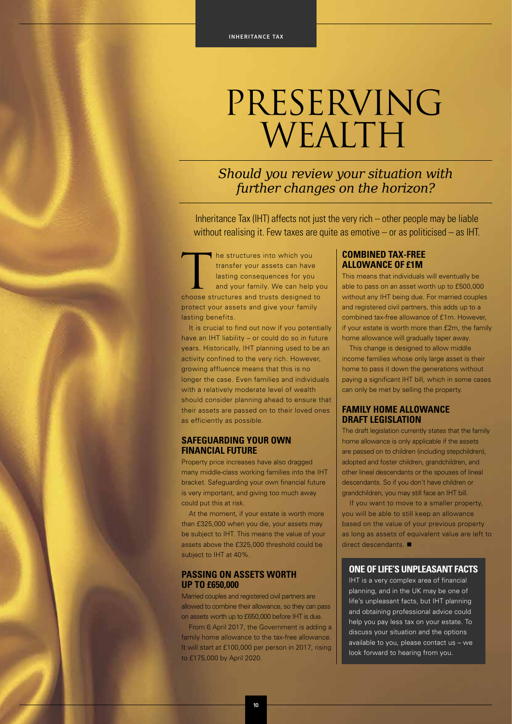# PRESERVING WEALTH

*Should you review your situation with further changes on the horizon?*

Inheritance Tax (IHT) affects not just the very rich – other people may be liable without realising it. Few taxes are quite as emotive – or as politicised – as IHT.

The structures into which you<br>
transfer your assets can have<br>
lasting consequences for you<br>
and your family. We can help yo<br>
choose structures and trusts designed to transfer your assets can have lasting consequences for you and your family. We can help you protect your assets and give your family lasting benefits.

It is crucial to find out now if you potentially have an IHT liability – or could do so in future years. Historically, IHT planning used to be an activity confined to the very rich. However, growing affluence means that this is no longer the case. Even families and individuals with a relatively moderate level of wealth should consider planning ahead to ensure that their assets are passed on to their loved ones as efficiently as possible.

#### **SAFEGUARDING YOUR OWN FINANCIAL FUTURE**

Property price increases have also dragged many middle-class working families into the IHT bracket. Safeguarding your own financial future is very important, and giving too much away could put this at risk.

At the moment, if your estate is worth more than £325,000 when you die, your assets may be subject to IHT. This means the value of your assets above the £325,000 threshold could be subject to IHT at 40%.

#### **PASSING ON ASSETS WORTH UP TO £650,000**

Married couples and registered civil partners are allowed to combine their allowance, so they can pass on assets worth up to £650,000 before IHT is due.

From 6 April 2017, the Government is adding a family home allowance to the tax-free allowance. It will start at £100,000 per person in 2017, rising to £175,000 by April 2020.

#### **COMBINED TAX-FREE ALLOWANCE OF £1M**

This means that individuals will eventually be able to pass on an asset worth up to £500,000 without any IHT being due. For married couples and registered civil partners, this adds up to a combined tax-free allowance of £1m. However, if your estate is worth more than £2m, the family home allowance will gradually taper away.

This change is designed to allow middle income families whose only large asset is their home to pass it down the generations without paying a significant IHT bill, which in some cases can only be met by selling the property.

#### **FAMILY HOME ALLOWANCE DRAFT LEGISLATION**

The draft legislation currently states that the family home allowance is only applicable if the assets are passed on to children (including stepchildren), adopted and foster children, grandchildren, and other lineal descendants or the spouses of lineal descendants. So if you don't have children or grandchildren, you may still face an IHT bill.

If you want to move to a smaller property, you will be able to still keep an allowance based on the value of your previous property as long as assets of equivalent value are left to  $direct$  descendants.

#### **ONE OF LIFE'S UNPLEASANT FACTS**

IHT is a very complex area of financial planning, and in the UK may be one of life's unpleasant facts, but IHT planning and obtaining professional advice could help you pay less tax on your estate. To discuss your situation and the options available to you, please contact us – we look forward to hearing from you.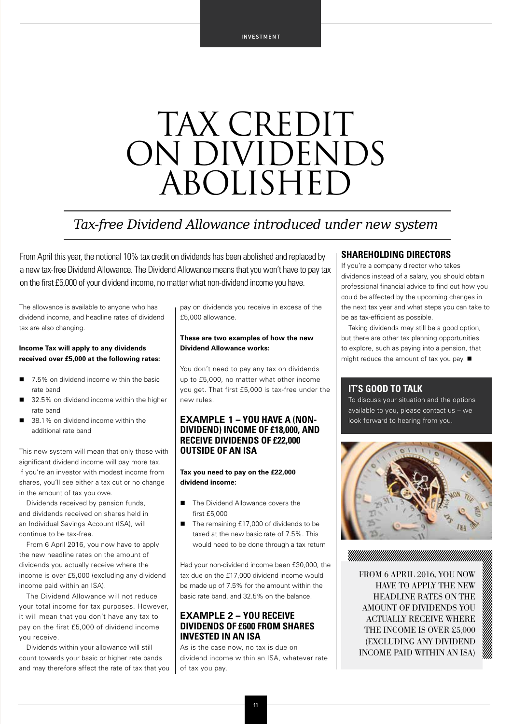# TAX CREDIT ON DIVIDENDS ABOLISHED

### *Tax-free Dividend Allowance introduced under new system*

From April this year, the notional 10% tax credit on dividends has been abolished and replaced by a new tax-free Dividend Allowance. The Dividend Allowance means that you won't have to pay tax on the first £5,000 of your dividend income, no matter what non-dividend income you have.

The allowance is available to anyone who has dividend income, and headline rates of dividend tax are also changing.

#### **Income Tax will apply to any dividends received over £5,000 at the following rates:**

- 7.5% on dividend income within the basic rate band
- 32.5% on dividend income within the higher rate band
- 38.1% on dividend income within the additional rate band

This new system will mean that only those with significant dividend income will pay more tax. If you're an investor with modest income from shares, you'll see either a tax cut or no change in the amount of tax you owe.

Dividends received by pension funds, and dividends received on shares held in an Individual Savings Account (ISA), will continue to be tax-free.

From 6 April 2016, you now have to apply the new headline rates on the amount of dividends you actually receive where the income is over £5,000 (excluding any dividend income paid within an ISA).

The Dividend Allowance will not reduce your total income for tax purposes. However, it will mean that you don't have any tax to pay on the first £5,000 of dividend income you receive.

Dividends within your allowance will still count towards your basic or higher rate bands and may therefore affect the rate of tax that you pay on dividends you receive in excess of the £5,000 allowance.

#### **These are two examples of how the new Dividend Allowance works:**

You don't need to pay any tax on dividends up to £5,000, no matter what other income you get. That first £5,000 is tax-free under the new rules.

#### **EXAMPLE 1 – YOU HAVE A (NON-DIVIDEND) INCOME OF £18,000, AND RECEIVE DIVIDENDS OF £22,000 OUTSIDE OF AN ISA**

#### **Tax you need to pay on the £22,000 dividend income:**

- The Dividend Allowance covers the first £5,000
- The remaining £17,000 of dividends to be taxed at the new basic rate of 7.5%. This would need to be done through a tax return

Had your non-dividend income been £30,000, the tax due on the £17,000 dividend income would be made up of 7.5% for the amount within the basic rate band, and 32.5% on the balance.

#### **EXAMPLE 2 – YOU RECEIVE DIVIDENDS OF £600 FROM SHARES INVESTED IN AN ISA**

As is the case now, no tax is due on dividend income within an ISA, whatever rate of tax you pay.

#### **SHAREHOLDING DIRECTORS**

If you're a company director who takes dividends instead of a salary, you should obtain professional financial advice to find out how you could be affected by the upcoming changes in the next tax year and what steps you can take to be as tax-efficient as possible.

Taking dividends may still be a good option, but there are other tax planning opportunities to explore, such as paying into a pension, that might reduce the amount of tax you pay.  $\blacksquare$ 

#### **IT'S GOOD TO TALK**

MAMMANIANININININA MA

To discuss your situation and the options available to you, please contact us – we look forward to hearing from you.



FROM 6 APRIL 2016, YOU NOW HAVE TO APPLY THE NEW HEADLINE RATES ON THE AMOUNT OF DIVIDENDS YOU ACTUALLY RECEIVE WHERE THE INCOME IS OVER £5,000 (EXCLUDING ANY DIVIDEND INCOME PAID WITHIN AN ISA)